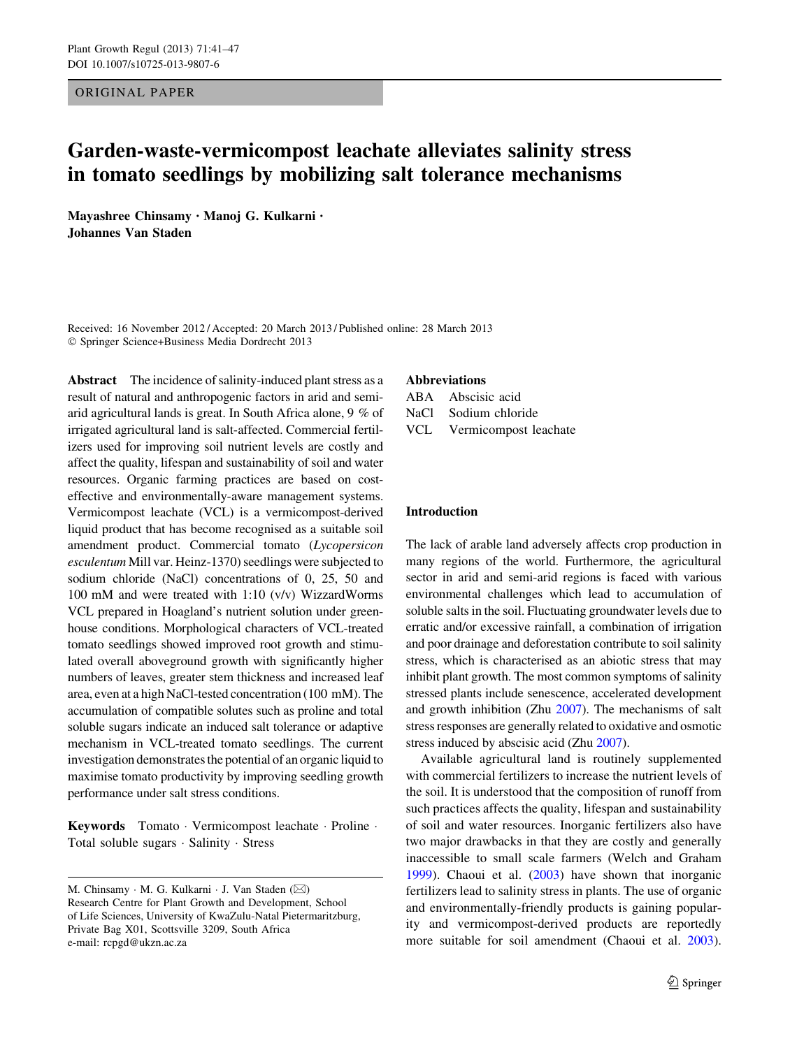ORIGINAL PAPER

# Garden-waste-vermicompost leachate alleviates salinity stress in tomato seedlings by mobilizing salt tolerance mechanisms

Mayashree Chinsamy • Manoj G. Kulkarni • Johannes Van Staden

Received: 16 November 2012 / Accepted: 20 March 2013 / Published online: 28 March 2013 - Springer Science+Business Media Dordrecht 2013

Abstract The incidence of salinity-induced plant stress as a result of natural and anthropogenic factors in arid and semiarid agricultural lands is great. In South Africa alone, 9 % of irrigated agricultural land is salt-affected. Commercial fertilizers used for improving soil nutrient levels are costly and affect the quality, lifespan and sustainability of soil and water resources. Organic farming practices are based on costeffective and environmentally-aware management systems. Vermicompost leachate (VCL) is a vermicompost-derived liquid product that has become recognised as a suitable soil amendment product. Commercial tomato (Lycopersicon esculentum Mill var. Heinz-1370) seedlings were subjected to sodium chloride (NaCl) concentrations of 0, 25, 50 and 100 mM and were treated with 1:10 (v/v) WizzardWorms VCL prepared in Hoagland's nutrient solution under greenhouse conditions. Morphological characters of VCL-treated tomato seedlings showed improved root growth and stimulated overall aboveground growth with significantly higher numbers of leaves, greater stem thickness and increased leaf area, even at a high NaCl-tested concentration (100 mM). The accumulation of compatible solutes such as proline and total soluble sugars indicate an induced salt tolerance or adaptive mechanism in VCL-treated tomato seedlings. The current investigation demonstrates the potential of an organic liquid to maximise tomato productivity by improving seedling growth performance under salt stress conditions.

Keywords Tomato · Vermicompost leachate · Proline · Total soluble sugars - Salinity - Stress

## Abbreviations

ABA Abscisic acid NaCl Sodium chloride VCL Vermicompost leachate

# Introduction

The lack of arable land adversely affects crop production in many regions of the world. Furthermore, the agricultural sector in arid and semi-arid regions is faced with various environmental challenges which lead to accumulation of soluble salts in the soil. Fluctuating groundwater levels due to erratic and/or excessive rainfall, a combination of irrigation and poor drainage and deforestation contribute to soil salinity stress, which is characterised as an abiotic stress that may inhibit plant growth. The most common symptoms of salinity stressed plants include senescence, accelerated development and growth inhibition (Zhu [2007\)](#page-6-0). The mechanisms of salt stress responses are generally related to oxidative and osmotic stress induced by abscisic acid (Zhu [2007](#page-6-0)).

Available agricultural land is routinely supplemented with commercial fertilizers to increase the nutrient levels of the soil. It is understood that the composition of runoff from such practices affects the quality, lifespan and sustainability of soil and water resources. Inorganic fertilizers also have two major drawbacks in that they are costly and generally inaccessible to small scale farmers (Welch and Graham [1999](#page-6-0)). Chaoui et al. [\(2003](#page-6-0)) have shown that inorganic fertilizers lead to salinity stress in plants. The use of organic and environmentally-friendly products is gaining popularity and vermicompost-derived products are reportedly more suitable for soil amendment (Chaoui et al. [2003](#page-6-0)).

M. Chinsamy ⋅ M. G. Kulkarni ⋅ J. Van Staden (⊠) Research Centre for Plant Growth and Development, School of Life Sciences, University of KwaZulu-Natal Pietermaritzburg, Private Bag X01, Scottsville 3209, South Africa e-mail: rcpgd@ukzn.ac.za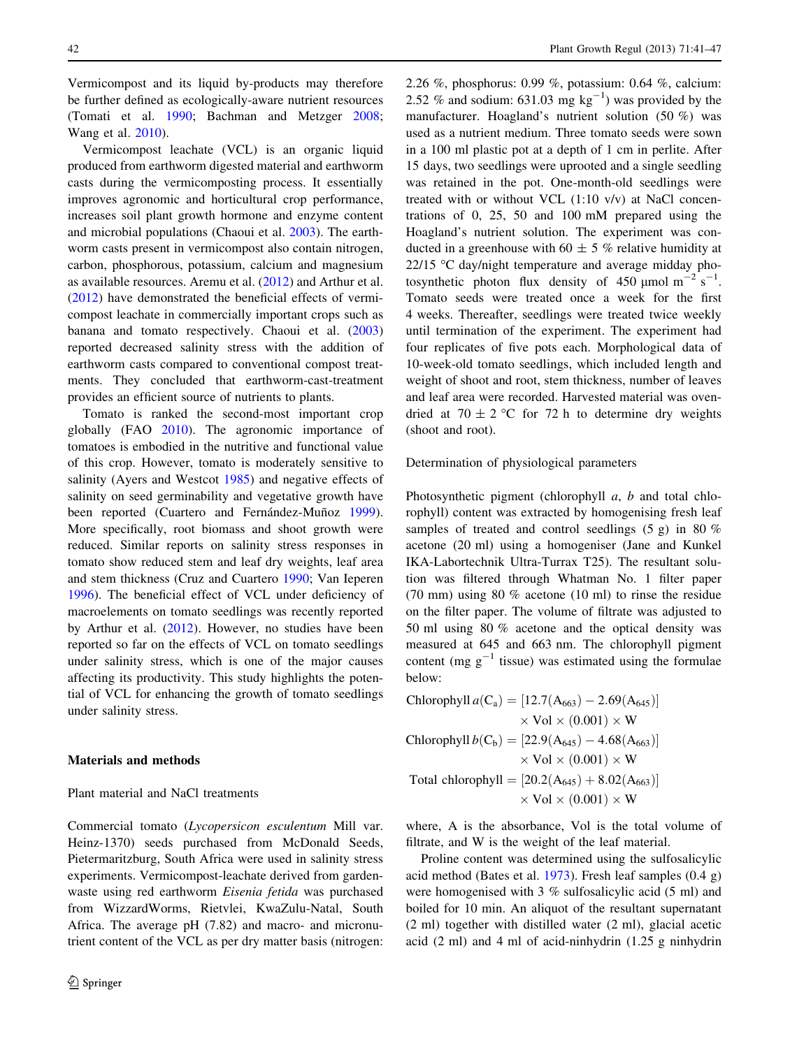Vermicompost and its liquid by-products may therefore be further defined as ecologically-aware nutrient resources (Tomati et al. [1990](#page-6-0); Bachman and Metzger [2008](#page-6-0); Wang et al. [2010\)](#page-6-0).

Vermicompost leachate (VCL) is an organic liquid produced from earthworm digested material and earthworm casts during the vermicomposting process. It essentially improves agronomic and horticultural crop performance, increases soil plant growth hormone and enzyme content and microbial populations (Chaoui et al. [2003](#page-6-0)). The earthworm casts present in vermicompost also contain nitrogen, carbon, phosphorous, potassium, calcium and magnesium as available resources. Aremu et al. [\(2012](#page-6-0)) and Arthur et al. [\(2012](#page-6-0)) have demonstrated the beneficial effects of vermicompost leachate in commercially important crops such as banana and tomato respectively. Chaoui et al. ([2003\)](#page-6-0) reported decreased salinity stress with the addition of earthworm casts compared to conventional compost treatments. They concluded that earthworm-cast-treatment provides an efficient source of nutrients to plants.

Tomato is ranked the second-most important crop globally (FAO [2010\)](#page-6-0). The agronomic importance of tomatoes is embodied in the nutritive and functional value of this crop. However, tomato is moderately sensitive to salinity (Ayers and Westcot [1985\)](#page-6-0) and negative effects of salinity on seed germinability and vegetative growth have been reported (Cuartero and Fernández-Muñoz [1999](#page-6-0)). More specifically, root biomass and shoot growth were reduced. Similar reports on salinity stress responses in tomato show reduced stem and leaf dry weights, leaf area and stem thickness (Cruz and Cuartero [1990](#page-6-0); Van Ieperen [1996\)](#page-6-0). The beneficial effect of VCL under deficiency of macroelements on tomato seedlings was recently reported by Arthur et al. [\(2012](#page-6-0)). However, no studies have been reported so far on the effects of VCL on tomato seedlings under salinity stress, which is one of the major causes affecting its productivity. This study highlights the potential of VCL for enhancing the growth of tomato seedlings under salinity stress.

## Materials and methods

## Plant material and NaCl treatments

Commercial tomato (Lycopersicon esculentum Mill var. Heinz-1370) seeds purchased from McDonald Seeds, Pietermaritzburg, South Africa were used in salinity stress experiments. Vermicompost-leachate derived from gardenwaste using red earthworm Eisenia fetida was purchased from WizzardWorms, Rietvlei, KwaZulu-Natal, South Africa. The average pH (7.82) and macro- and micronutrient content of the VCL as per dry matter basis (nitrogen: 2.26 %, phosphorus: 0.99 %, potassium: 0.64 %, calcium: 2.52 % and sodium: 631.03 mg  $kg^{-1}$ ) was provided by the manufacturer. Hoagland's nutrient solution (50 %) was used as a nutrient medium. Three tomato seeds were sown in a 100 ml plastic pot at a depth of 1 cm in perlite. After 15 days, two seedlings were uprooted and a single seedling was retained in the pot. One-month-old seedlings were treated with or without VCL (1:10 v/v) at NaCl concentrations of 0, 25, 50 and 100 mM prepared using the Hoagland's nutrient solution. The experiment was conducted in a greenhouse with 60  $\pm$  5 % relative humidity at  $22/15$  °C day/night temperature and average midday photosynthetic photon flux density of 450  $\mu$ mol m<sup>-2</sup> s<sup>-1</sup>. Tomato seeds were treated once a week for the first 4 weeks. Thereafter, seedlings were treated twice weekly until termination of the experiment. The experiment had four replicates of five pots each. Morphological data of 10-week-old tomato seedlings, which included length and weight of shoot and root, stem thickness, number of leaves and leaf area were recorded. Harvested material was ovendried at 70  $\pm$  2 °C for 72 h to determine dry weights (shoot and root).

Determination of physiological parameters

Photosynthetic pigment (chlorophyll  $a$ ,  $b$  and total chlorophyll) content was extracted by homogenising fresh leaf samples of treated and control seedlings (5 g) in 80 % acetone (20 ml) using a homogeniser (Jane and Kunkel IKA-Labortechnik Ultra-Turrax T25). The resultant solution was filtered through Whatman No. 1 filter paper (70 mm) using 80 % acetone (10 ml) to rinse the residue on the filter paper. The volume of filtrate was adjusted to 50 ml using 80 % acetone and the optical density was measured at 645 and 663 nm. The chlorophyll pigment content (mg  $g^{-1}$  tissue) was estimated using the formulae below:

Chlorophyll 
$$
a(C_a) = [12.7(A_{663}) - 2.69(A_{645})]
$$
  
\n $\times \text{Vol} \times (0.001) \times \text{W}$   
\nChlorophyll  $b(C_b) = [22.9(A_{645}) - 4.68(A_{663})]$   
\n $\times \text{Vol} \times (0.001) \times \text{W}$   
\nTotal chlorophyll =  $[20.2(A_{645}) + 8.02(A_{663})]$   
\n $\times \text{Vol} \times (0.001) \times \text{W}$ 

where, A is the absorbance, Vol is the total volume of filtrate, and W is the weight of the leaf material.

Proline content was determined using the sulfosalicylic acid method (Bates et al. [1973](#page-6-0)). Fresh leaf samples (0.4 g) were homogenised with 3 % sulfosalicylic acid (5 ml) and boiled for 10 min. An aliquot of the resultant supernatant (2 ml) together with distilled water (2 ml), glacial acetic acid (2 ml) and 4 ml of acid-ninhydrin (1.25 g ninhydrin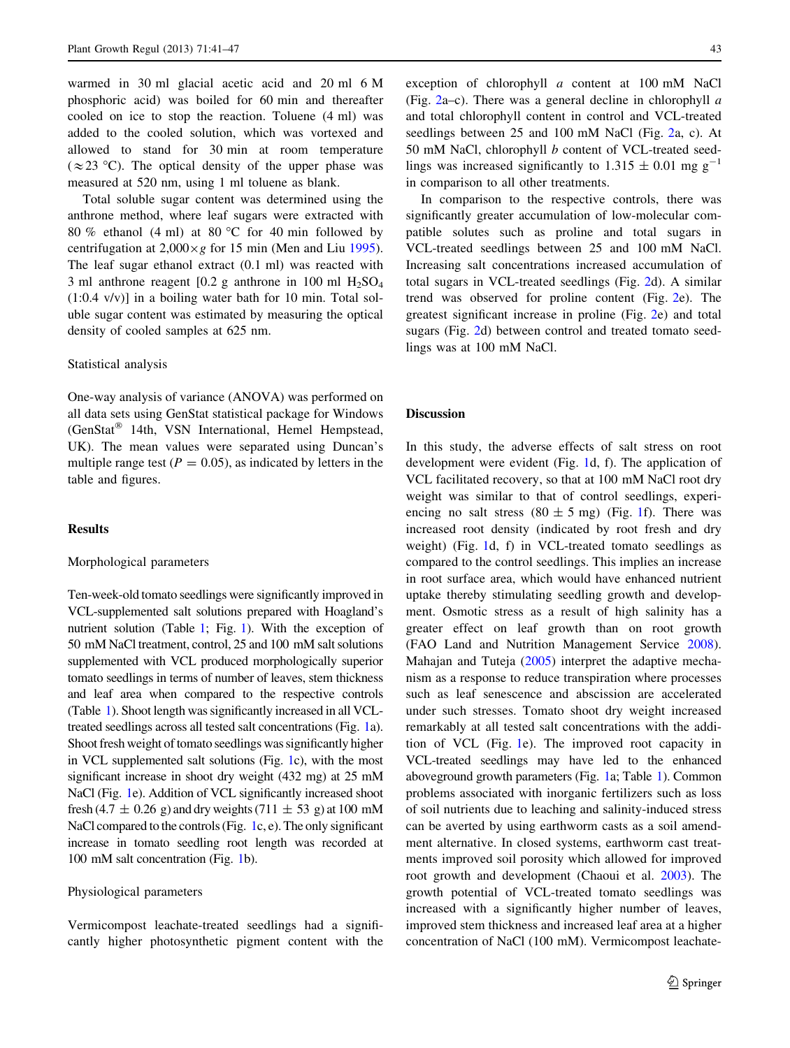warmed in 30 ml glacial acetic acid and 20 ml 6 M phosphoric acid) was boiled for 60 min and thereafter cooled on ice to stop the reaction. Toluene (4 ml) was added to the cooled solution, which was vortexed and allowed to stand for 30 min at room temperature  $(\approx 23 \text{ °C})$ . The optical density of the upper phase was measured at 520 nm, using 1 ml toluene as blank.

Total soluble sugar content was determined using the anthrone method, where leaf sugars were extracted with 80 % ethanol (4 ml) at 80 °C for 40 min followed by centrifugation at  $2,000 \times g$  for 15 min (Men and Liu [1995](#page-6-0)). The leaf sugar ethanol extract (0.1 ml) was reacted with 3 ml anthrone reagent  $[0.2$  g anthrone in 100 ml  $H_2SO_4$ (1:0.4 v/v)] in a boiling water bath for 10 min. Total soluble sugar content was estimated by measuring the optical density of cooled samples at 625 nm.

#### Statistical analysis

One-way analysis of variance (ANOVA) was performed on all data sets using GenStat statistical package for Windows (GenStat<sup>®</sup> 14th, VSN International, Hemel Hempstead, UK). The mean values were separated using Duncan's multiple range test ( $P = 0.05$ ), as indicated by letters in the table and figures.

# **Results**

# Morphological parameters

Ten-week-old tomato seedlings were significantly improved in VCL-supplemented salt solutions prepared with Hoagland's nutrient solution (Table [1](#page-3-0); Fig. [1](#page-3-0)). With the exception of 50 mM NaCl treatment, control, 25 and 100 mM salt solutions supplemented with VCL produced morphologically superior tomato seedlings in terms of number of leaves, stem thickness and leaf area when compared to the respective controls (Table [1](#page-3-0)). Shoot length was significantly increased in all VCLtreated seedlings across all tested salt concentrations (Fig. [1](#page-3-0)a). Shoot fresh weight of tomato seedlings was significantly higher in VCL supplemented salt solutions (Fig. [1c](#page-3-0)), with the most significant increase in shoot dry weight (432 mg) at 25 mM NaCl (Fig. [1e](#page-3-0)). Addition of VCL significantly increased shoot fresh (4.7  $\pm$  0.26 g) and dry weights (711  $\pm$  53 g) at 100 mM NaCl compared to the controls (Fig. [1](#page-3-0)c, e). The only significant increase in tomato seedling root length was recorded at 100 mM salt concentration (Fig. [1](#page-3-0)b).

## Physiological parameters

Vermicompost leachate-treated seedlings had a significantly higher photosynthetic pigment content with the exception of chlorophyll a content at 100 mM NaCl (Fig. [2a](#page-4-0)–c). There was a general decline in chlorophyll  $\alpha$ and total chlorophyll content in control and VCL-treated seedlings between 25 and 100 mM NaCl (Fig. [2a](#page-4-0), c). At 50 mM NaCl, chlorophyll b content of VCL-treated seedlings was increased significantly to  $1.315 \pm 0.01$  mg g<sup>-1</sup> in comparison to all other treatments.

In comparison to the respective controls, there was significantly greater accumulation of low-molecular compatible solutes such as proline and total sugars in VCL-treated seedlings between 25 and 100 mM NaCl. Increasing salt concentrations increased accumulation of total sugars in VCL-treated seedlings (Fig. [2](#page-4-0)d). A similar trend was observed for proline content (Fig. [2](#page-4-0)e). The greatest significant increase in proline (Fig. [2e](#page-4-0)) and total sugars (Fig. [2](#page-4-0)d) between control and treated tomato seedlings was at 100 mM NaCl.

#### Discussion

In this study, the adverse effects of salt stress on root development were evident (Fig. [1d](#page-3-0), f). The application of VCL facilitated recovery, so that at 100 mM NaCl root dry weight was similar to that of control seedlings, experiencing no salt stress  $(80 \pm 5 \text{ mg})$  (Fig. [1](#page-3-0)f). There was increased root density (indicated by root fresh and dry weight) (Fig. [1](#page-3-0)d, f) in VCL-treated tomato seedlings as compared to the control seedlings. This implies an increase in root surface area, which would have enhanced nutrient uptake thereby stimulating seedling growth and development. Osmotic stress as a result of high salinity has a greater effect on leaf growth than on root growth (FAO Land and Nutrition Management Service [2008](#page-6-0)). Mahajan and Tuteja ([2005\)](#page-6-0) interpret the adaptive mechanism as a response to reduce transpiration where processes such as leaf senescence and abscission are accelerated under such stresses. Tomato shoot dry weight increased remarkably at all tested salt concentrations with the addition of VCL (Fig. [1](#page-3-0)e). The improved root capacity in VCL-treated seedlings may have led to the enhanced aboveground growth parameters (Fig. [1](#page-3-0)a; Table [1\)](#page-3-0). Common problems associated with inorganic fertilizers such as loss of soil nutrients due to leaching and salinity-induced stress can be averted by using earthworm casts as a soil amendment alternative. In closed systems, earthworm cast treatments improved soil porosity which allowed for improved root growth and development (Chaoui et al. [2003](#page-6-0)). The growth potential of VCL-treated tomato seedlings was increased with a significantly higher number of leaves, improved stem thickness and increased leaf area at a higher concentration of NaCl (100 mM). Vermicompost leachate-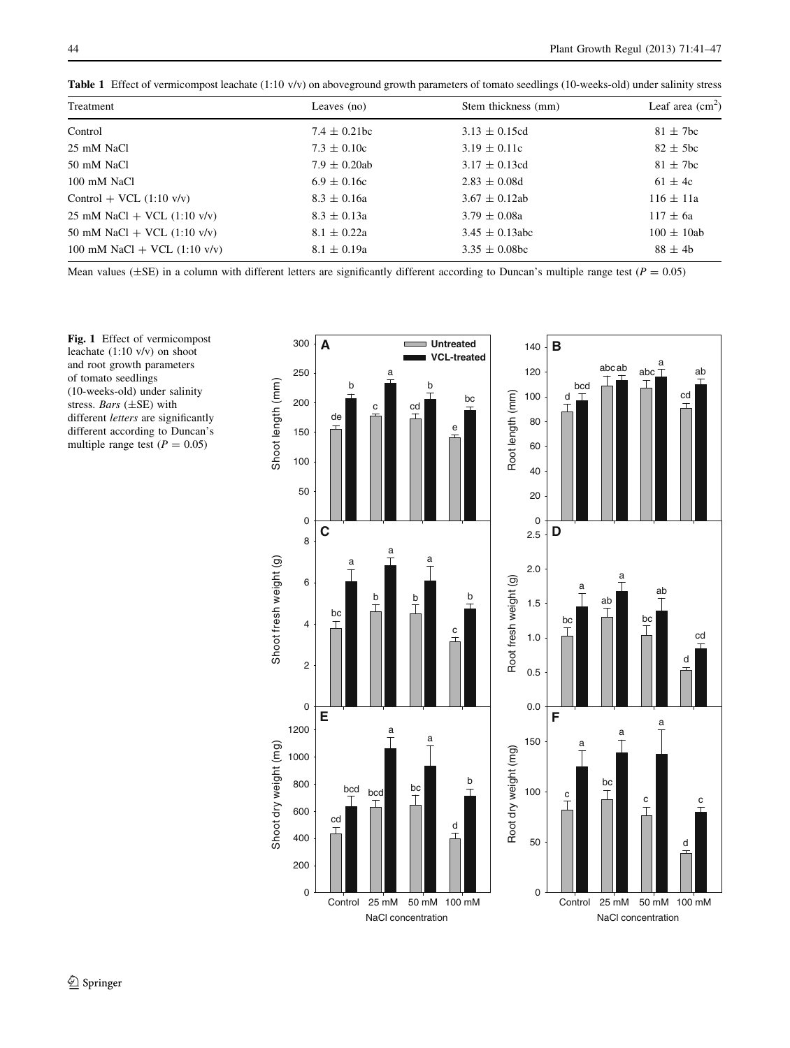<span id="page-3-0"></span>

|  |  |  |  | Table 1 Effect of vermicompost leachate (1:10 v/v) on aboveground growth parameters of tomato seedlings (10-weeks-old) under salinity stress |  |
|--|--|--|--|----------------------------------------------------------------------------------------------------------------------------------------------|--|
|--|--|--|--|----------------------------------------------------------------------------------------------------------------------------------------------|--|

| Treatment                                            | Leaves (no)       | Stem thickness (mm) | Leaf area $\text{cm}^2$ |
|------------------------------------------------------|-------------------|---------------------|-------------------------|
| Control                                              | $7.4 \pm 0.21$ bc | $3.13 \pm 0.15$ cd  | $81 \pm 7$ bc           |
| 25 mM NaCl                                           | $7.3 \pm 0.10c$   | $3.19 \pm 0.11c$    | $82 \pm 5$ bc           |
| 50 mM NaCl                                           | $7.9 \pm 0.20$ ab | $3.17 \pm 0.13$ cd  | $81 \pm 7$ bc           |
| 100 mM NaCl                                          | $6.9 \pm 0.16c$   | $2.83 \pm 0.08d$    | $61 \pm 4c$             |
| $Control + VCL (1:10 v/v)$                           | $8.3 \pm 0.16a$   | $3.67 \pm 0.12$ ab  | $116 \pm 11a$           |
| $25 \text{ mM NaCl} + \text{VCL} (1:10 \text{ v/v})$ | $8.3 \pm 0.13a$   | $3.79 \pm 0.08a$    | $117 \pm 6a$            |
| 50 mM NaCl + VCL (1:10 v/v)                          | $8.1 \pm 0.22a$   | $3.45 \pm 0.13$ abc | $100 \pm 10ab$          |
| 100 mM NaCl + VCL $(1:10 \text{ v/v})$               | $8.1 \pm 0.19a$   | $3.35 \pm 0.08$ bc  | $88 \pm 4b$             |

Mean values ( $\pm$ SE) in a column with different letters are significantly different according to Duncan's multiple range test ( $P = 0.05$ )

Fig. 1 Effect of vermicompost leachate (1:10 v/v) on shoot and root growth parameters of tomato seedlings (10-weeks-old) under salinity stress. Bars (±SE) with different letters are significantly different according to Duncan's multiple range test ( $P = 0.05$ )

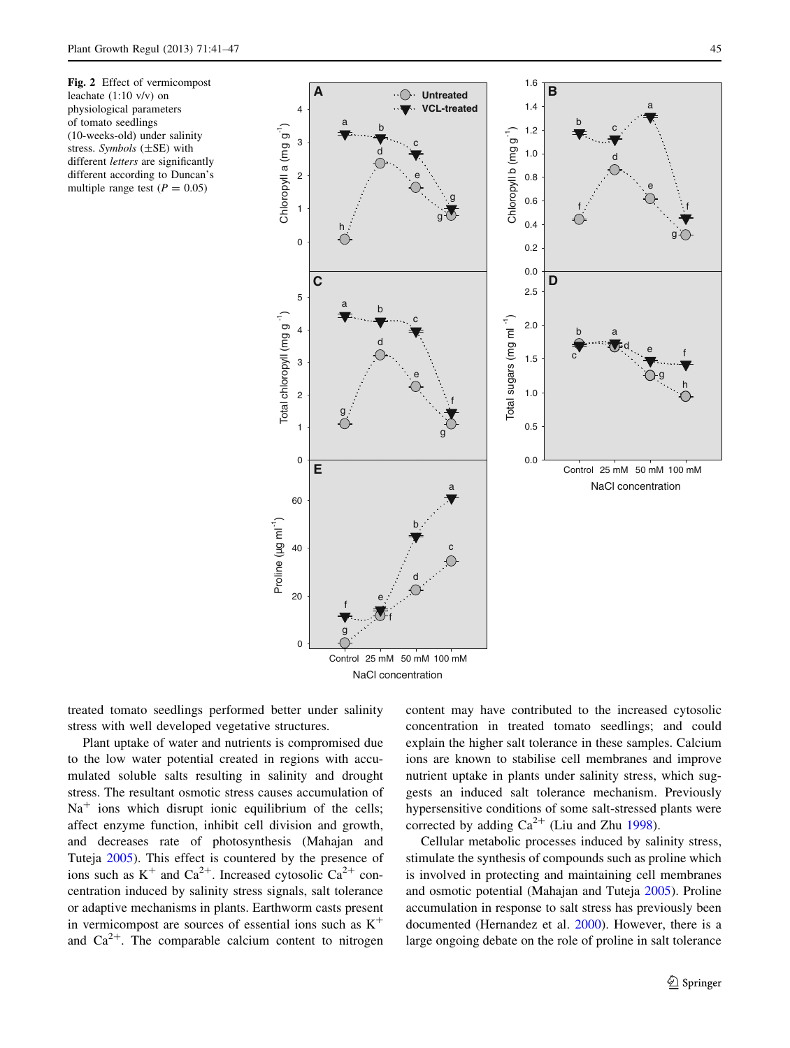<span id="page-4-0"></span>Fig. 2 Effect of vermicompost leachate (1:10 v/v) on physiological parameters of tomato seedlings (10-weeks-old) under salinity stress. Symbols  $(\pm SE)$  with different *letters* are significantly different according to Duncan's multiple range test ( $P = 0.05$ )



treated tomato seedlings performed better under salinity stress with well developed vegetative structures.

Plant uptake of water and nutrients is compromised due to the low water potential created in regions with accumulated soluble salts resulting in salinity and drought stress. The resultant osmotic stress causes accumulation of  $Na<sup>+</sup>$  ions which disrupt ionic equilibrium of the cells; affect enzyme function, inhibit cell division and growth, and decreases rate of photosynthesis (Mahajan and Tuteja [2005](#page-6-0)). This effect is countered by the presence of ions such as  $K^+$  and  $Ca^{2+}$ . Increased cytosolic  $Ca^{2+}$  concentration induced by salinity stress signals, salt tolerance or adaptive mechanisms in plants. Earthworm casts present in vermicompost are sources of essential ions such as  $K^+$ and  $Ca^{2+}$ . The comparable calcium content to nitrogen content may have contributed to the increased cytosolic concentration in treated tomato seedlings; and could explain the higher salt tolerance in these samples. Calcium ions are known to stabilise cell membranes and improve nutrient uptake in plants under salinity stress, which suggests an induced salt tolerance mechanism. Previously hypersensitive conditions of some salt-stressed plants were corrected by adding  $Ca^{2+}$  (Liu and Zhu [1998](#page-6-0)).

Cellular metabolic processes induced by salinity stress, stimulate the synthesis of compounds such as proline which is involved in protecting and maintaining cell membranes and osmotic potential (Mahajan and Tuteja [2005](#page-6-0)). Proline accumulation in response to salt stress has previously been documented (Hernandez et al. [2000](#page-6-0)). However, there is a large ongoing debate on the role of proline in salt tolerance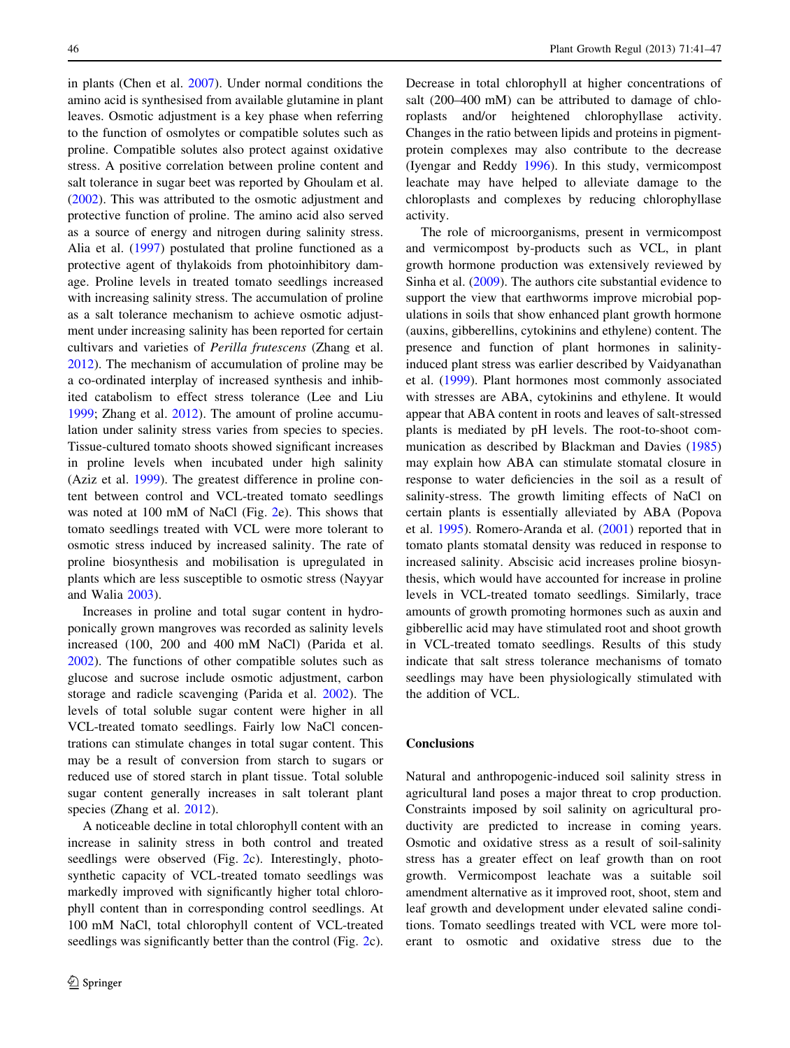in plants (Chen et al. [2007\)](#page-6-0). Under normal conditions the amino acid is synthesised from available glutamine in plant leaves. Osmotic adjustment is a key phase when referring to the function of osmolytes or compatible solutes such as proline. Compatible solutes also protect against oxidative stress. A positive correlation between proline content and salt tolerance in sugar beet was reported by Ghoulam et al. [\(2002](#page-6-0)). This was attributed to the osmotic adjustment and protective function of proline. The amino acid also served as a source of energy and nitrogen during salinity stress. Alia et al. ([1997\)](#page-6-0) postulated that proline functioned as a protective agent of thylakoids from photoinhibitory damage. Proline levels in treated tomato seedlings increased with increasing salinity stress. The accumulation of proline as a salt tolerance mechanism to achieve osmotic adjustment under increasing salinity has been reported for certain cultivars and varieties of Perilla frutescens (Zhang et al. [2012\)](#page-6-0). The mechanism of accumulation of proline may be a co-ordinated interplay of increased synthesis and inhibited catabolism to effect stress tolerance (Lee and Liu [1999;](#page-6-0) Zhang et al. [2012\)](#page-6-0). The amount of proline accumulation under salinity stress varies from species to species. Tissue-cultured tomato shoots showed significant increases in proline levels when incubated under high salinity (Aziz et al. [1999\)](#page-6-0). The greatest difference in proline content between control and VCL-treated tomato seedlings was noted at 100 mM of NaCl (Fig. [2e](#page-4-0)). This shows that tomato seedlings treated with VCL were more tolerant to osmotic stress induced by increased salinity. The rate of proline biosynthesis and mobilisation is upregulated in plants which are less susceptible to osmotic stress (Nayyar and Walia [2003](#page-6-0)).

Increases in proline and total sugar content in hydroponically grown mangroves was recorded as salinity levels increased (100, 200 and 400 mM NaCl) (Parida et al. [2002\)](#page-6-0). The functions of other compatible solutes such as glucose and sucrose include osmotic adjustment, carbon storage and radicle scavenging (Parida et al. [2002](#page-6-0)). The levels of total soluble sugar content were higher in all VCL-treated tomato seedlings. Fairly low NaCl concentrations can stimulate changes in total sugar content. This may be a result of conversion from starch to sugars or reduced use of stored starch in plant tissue. Total soluble sugar content generally increases in salt tolerant plant species (Zhang et al. [2012](#page-6-0)).

A noticeable decline in total chlorophyll content with an increase in salinity stress in both control and treated seedlings were observed (Fig. [2](#page-4-0)c). Interestingly, photosynthetic capacity of VCL-treated tomato seedlings was markedly improved with significantly higher total chlorophyll content than in corresponding control seedlings. At 100 mM NaCl, total chlorophyll content of VCL-treated seedlings was significantly better than the control (Fig. [2c](#page-4-0)). Decrease in total chlorophyll at higher concentrations of salt (200–400 mM) can be attributed to damage of chloroplasts and/or heightened chlorophyllase activity. Changes in the ratio between lipids and proteins in pigmentprotein complexes may also contribute to the decrease (Iyengar and Reddy [1996\)](#page-6-0). In this study, vermicompost leachate may have helped to alleviate damage to the chloroplasts and complexes by reducing chlorophyllase activity.

The role of microorganisms, present in vermicompost and vermicompost by-products such as VCL, in plant growth hormone production was extensively reviewed by Sinha et al. [\(2009](#page-6-0)). The authors cite substantial evidence to support the view that earthworms improve microbial populations in soils that show enhanced plant growth hormone (auxins, gibberellins, cytokinins and ethylene) content. The presence and function of plant hormones in salinityinduced plant stress was earlier described by Vaidyanathan et al. ([1999\)](#page-6-0). Plant hormones most commonly associated with stresses are ABA, cytokinins and ethylene. It would appear that ABA content in roots and leaves of salt-stressed plants is mediated by pH levels. The root-to-shoot communication as described by Blackman and Davies ([1985\)](#page-6-0) may explain how ABA can stimulate stomatal closure in response to water deficiencies in the soil as a result of salinity-stress. The growth limiting effects of NaCl on certain plants is essentially alleviated by ABA (Popova et al. [1995\)](#page-6-0). Romero-Aranda et al. ([2001\)](#page-6-0) reported that in tomato plants stomatal density was reduced in response to increased salinity. Abscisic acid increases proline biosynthesis, which would have accounted for increase in proline levels in VCL-treated tomato seedlings. Similarly, trace amounts of growth promoting hormones such as auxin and gibberellic acid may have stimulated root and shoot growth in VCL-treated tomato seedlings. Results of this study indicate that salt stress tolerance mechanisms of tomato seedlings may have been physiologically stimulated with the addition of VCL.

# **Conclusions**

Natural and anthropogenic-induced soil salinity stress in agricultural land poses a major threat to crop production. Constraints imposed by soil salinity on agricultural productivity are predicted to increase in coming years. Osmotic and oxidative stress as a result of soil-salinity stress has a greater effect on leaf growth than on root growth. Vermicompost leachate was a suitable soil amendment alternative as it improved root, shoot, stem and leaf growth and development under elevated saline conditions. Tomato seedlings treated with VCL were more tolerant to osmotic and oxidative stress due to the